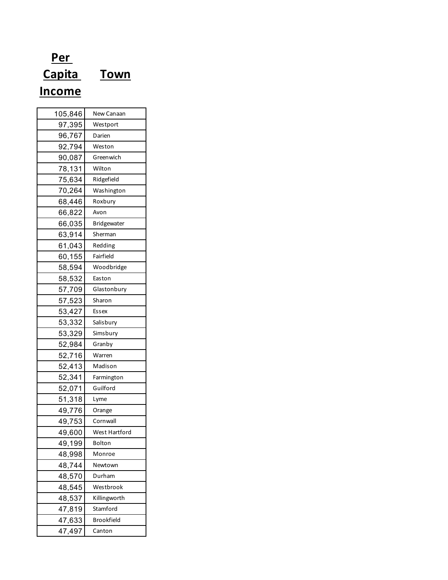## **Per Capita Town Income**

| 105,846 | New Canaan        |
|---------|-------------------|
| 97,395  | Westport          |
| 96,767  | Darien            |
| 92,794  | Weston            |
| 90,087  | Greenwich         |
| 78,131  | Wilton            |
| 75,634  | Ridgefield        |
| 70,264  | Washington        |
| 68,446  | Roxbury           |
| 66,822  | Avon              |
| 66,035  | Bridgewater       |
| 63,914  | Sherman           |
| 61,043  | Redding           |
| 60,155  | Fairfield         |
| 58,594  | Woodbridge        |
| 58,532  | Easton            |
| 57,709  | Glastonbury       |
| 57,523  | Sharon            |
| 53,427  | Essex             |
| 53,332  | Salisbury         |
| 53,329  | Simsbury          |
| 52,984  | Granby            |
| 52,716  | Warren            |
| 52,413  | Madison           |
| 52,341  | Farmington        |
| 52,071  | Guilford          |
| 51,318  | Lyme              |
| 49,776  | Orange            |
| 49,753  | Cornwall          |
| 49,600  | West Hartford     |
| 49,199  | Bolton            |
| 48,998  | Monroe            |
| 48,744  | Newtown           |
| 48,570  | Durham            |
| 48,545  | Westbrook         |
| 48,537  | Killingworth      |
| 47,819  | Stamford          |
| 47,633  | <b>Brookfield</b> |
| 47,497  | Canton            |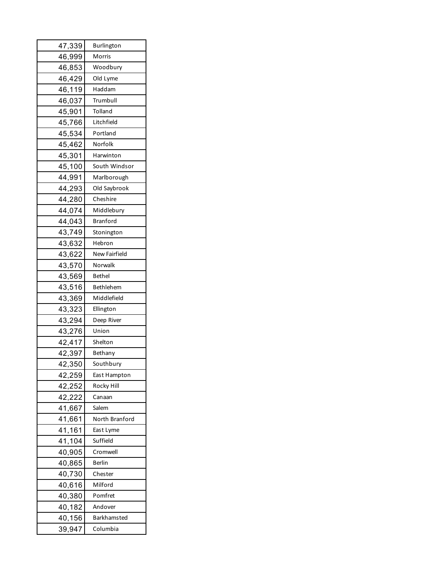| 47,339 | Burlington           |
|--------|----------------------|
| 46,999 | Morris               |
| 46,853 | Woodbury             |
| 46,429 | Old Lyme             |
| 46,119 | Haddam               |
| 46,037 | Trumbull             |
| 45,901 | Tolland              |
| 45,766 | Litchfield           |
| 45,534 | Portland             |
| 45,462 | Norfolk              |
| 45,301 | Harwinton            |
| 45,100 | South Windsor        |
| 44,991 | Marlborough          |
| 44,293 | Old Saybrook         |
| 44,280 | Cheshire             |
| 44,074 | Middlebury           |
| 44,043 | <b>Branford</b>      |
| 43,749 | Stonington           |
| 43,632 | Hebron               |
| 43,622 | <b>New Fairfield</b> |
| 43,570 | Norwalk              |
| 43,569 | <b>Bethel</b>        |
| 43,516 | Bethlehem            |
| 43,369 | Middlefield          |
| 43,323 | Ellington            |
| 43,294 | Deep River           |
| 43,276 | Union                |
| 42,417 | Shelton              |
| 42,397 | Bethany              |
| 42,350 | Southbury            |
| 42,259 | East Hampton         |
| 42,252 | Rocky Hill           |
| 42,222 | Canaan               |
| 41,667 | Salem                |
| 41,661 | North Branford       |
| 41,161 | East Lyme            |
| 41,104 | Suffield             |
| 40,905 | Cromwell             |
| 40,865 | Berlin               |
| 40,730 | Chester              |
| 40,616 | Milford              |
| 40,380 | Pomfret              |
| 40,182 | Andover              |
| 40,156 | <b>Barkhamsted</b>   |
| 39,947 | Columbia             |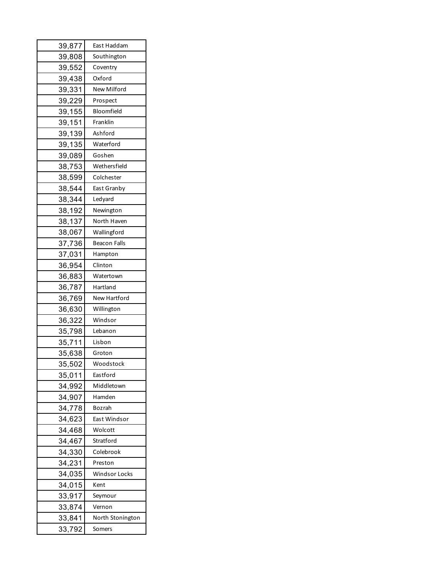| 39,877 | East Haddam          |
|--------|----------------------|
| 39,808 | Southington          |
| 39,552 | Coventry             |
| 39,438 | Oxford               |
| 39,331 | <b>New Milford</b>   |
| 39,229 | Prospect             |
| 39,155 | Bloomfield           |
| 39,151 | Franklin             |
| 39,139 | Ashford              |
| 39,135 | Waterford            |
| 39,089 | Goshen               |
| 38,753 | Wethersfield         |
| 38,599 | Colchester           |
| 38,544 | East Granby          |
| 38,344 | Ledyard              |
| 38,192 | Newington            |
| 38,137 | North Haven          |
| 38,067 | Wallingford          |
| 37,736 | <b>Beacon Falls</b>  |
| 37,031 | Hampton              |
| 36,954 | Clinton              |
| 36,883 | Watertown            |
| 36,787 | Hartland             |
| 36,769 | New Hartford         |
| 36,630 | Willington           |
| 36,322 | Windsor              |
| 35,798 | Lebanon              |
| 35,711 | Lisbon               |
| 35,638 | Groton               |
| 35,502 | Woodstock            |
| 35,011 | Eastford             |
| 34,992 | Middletown           |
| 34,907 | Hamden               |
| 34,778 | Bozrah               |
| 34,623 | East Windsor         |
| 34,468 | Wolcott              |
| 34,467 | Stratford            |
| 34,330 | Colebrook            |
| 34,231 | Preston              |
| 34,035 | <b>Windsor Locks</b> |
| 34,015 | Kent                 |
| 33,917 | Seymour              |
| 33,874 | Vernon               |
| 33,841 | North Stonington     |
| 33,792 | Somers               |